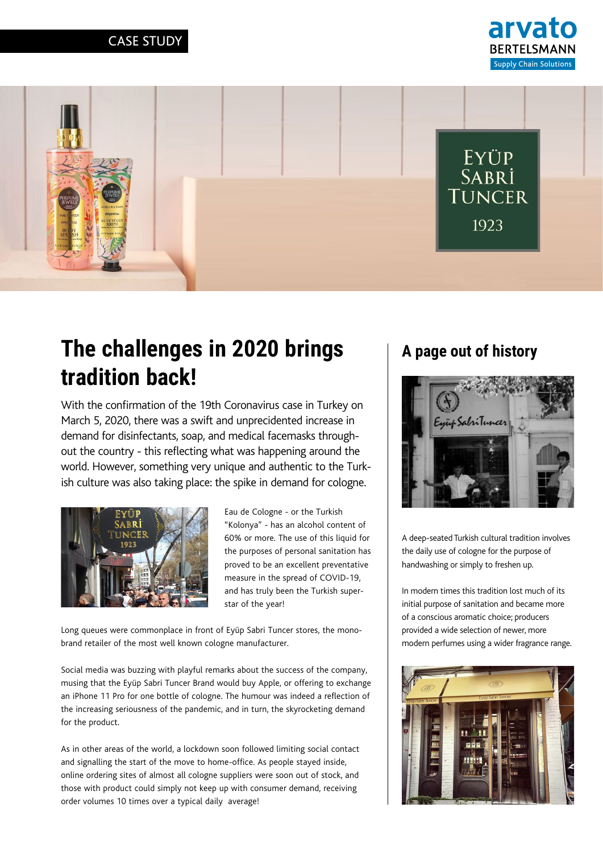



# **The challenges in 2020 brings tradition back!**

With the confirmation of the 19th Coronavirus case in Turkey on March 5, 2020, there was a swift and unprecidented increase in demand for disinfectants, soap, and medical facemasks throughout the country - this reflecting what was happening around the world. However, something very unique and authentic to the Turkish culture was also taking place: the spike in demand for cologne.



Eau de Cologne - or the Turkish "Kolonya" - has an alcohol content of 60% or more. The use of this liquid for the purposes of personal sanitation has proved to be an excellent preventative measure in the spread of COVID-19, and has truly been the Turkish superstar of the year!

Long queues were commonplace in front of Eyüp Sabri Tuncer stores, the monobrand retailer of the most well known cologne manufacturer.

Social media was buzzing with playful remarks about the success of the company, musing that the Eyüp Sabri Tuncer Brand would buy Apple, or offering to exchange an iPhone 11 Pro for one bottle of cologne. The humour was indeed a reflection of the increasing seriousness of the pandemic, and in turn, the skyrocketing demand for the product.

As in other areas of the world, a lockdown soon followed limiting social contact and signalling the start of the move to home-office. As people stayed inside, online ordering sites of almost all cologne suppliers were soon out of stock, and those with product could simply not keep up with consumer demand, receiving order volumes 10 times over a typical daily average!

#### **A page out of history**



A deep-seated Turkish cultural tradition involves the daily use of cologne for the purpose of handwashing or simply to freshen up.

In modern times this tradition lost much of its initial purpose of sanitation and became more of a conscious aromatic choice; producers provided a wide selection of newer, more modern perfumes using a wider fragrance range.